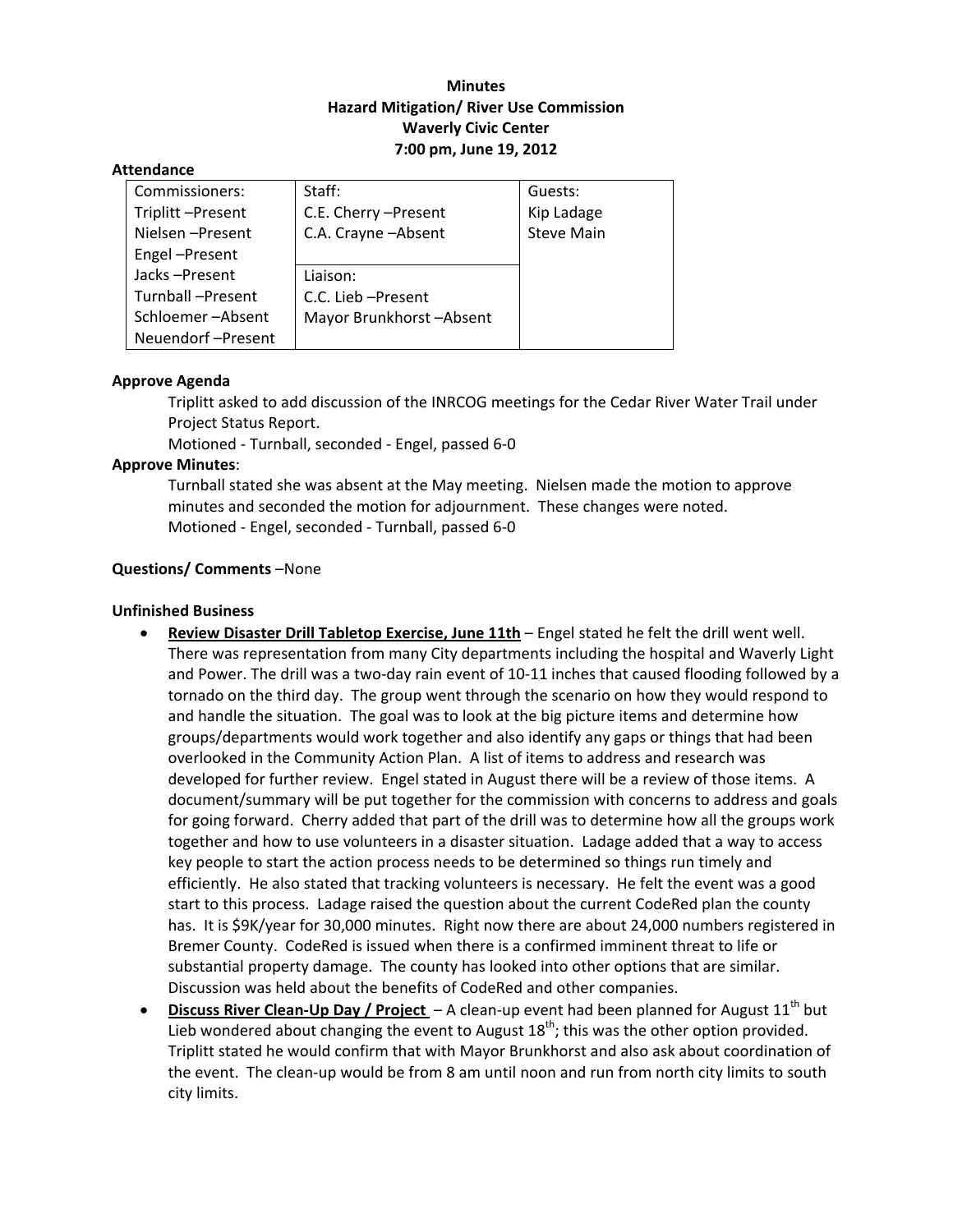# **Minutes Hazard Mitigation/ River Use Commission Waverly Civic Center 7:00 pm, June 19, 2012**

### **Attendance**

| Commissioners:    | Staff:                  | Guests:           |
|-------------------|-------------------------|-------------------|
| Triplitt-Present  | C.E. Cherry - Present   | Kip Ladage        |
| Nielsen-Present   | C.A. Crayne - Absent    | <b>Steve Main</b> |
| Engel-Present     |                         |                   |
| Jacks-Present     | Liaison:                |                   |
| Turnball-Present  | C.C. Lieb - Present     |                   |
| Schloemer-Absent  | Mayor Brunkhorst-Absent |                   |
| Neuendorf-Present |                         |                   |

## **Approve Agenda**

Triplitt asked to add discussion of the INRCOG meetings for the Cedar River Water Trail under Project Status Report.

Motioned ‐ Turnball, seconded ‐ Engel, passed 6‐0

#### **Approve Minutes**:

Turnball stated she was absent at the May meeting. Nielsen made the motion to approve minutes and seconded the motion for adjournment. These changes were noted. Motioned ‐ Engel, seconded ‐ Turnball, passed 6‐0

## **Questions/ Comments** –None

#### **Unfinished Business**

- **Review Disaster Drill Tabletop Exercise, June 11th** Engel stated he felt the drill went well. There was representation from many City departments including the hospital and Waverly Light and Power. The drill was a two-day rain event of 10-11 inches that caused flooding followed by a tornado on the third day. The group went through the scenario on how they would respond to and handle the situation. The goal was to look at the big picture items and determine how groups/departments would work together and also identify any gaps or things that had been overlooked in the Community Action Plan. A list of items to address and research was developed for further review. Engel stated in August there will be a review of those items. A document/summary will be put together for the commission with concerns to address and goals for going forward. Cherry added that part of the drill was to determine how all the groups work together and how to use volunteers in a disaster situation. Ladage added that a way to access key people to start the action process needs to be determined so things run timely and efficiently. He also stated that tracking volunteers is necessary. He felt the event was a good start to this process. Ladage raised the question about the current CodeRed plan the county has. It is \$9K/year for 30,000 minutes. Right now there are about 24,000 numbers registered in Bremer County. CodeRed is issued when there is a confirmed imminent threat to life or substantial property damage. The county has looked into other options that are similar. Discussion was held about the benefits of CodeRed and other companies.
- **Discuss River Clean-Up Day / Project** A clean-up event had been planned for August 11<sup>th</sup> but Lieb wondered about changing the event to August  $18^{th}$ ; this was the other option provided. Triplitt stated he would confirm that with Mayor Brunkhorst and also ask about coordination of the event. The clean-up would be from 8 am until noon and run from north city limits to south city limits.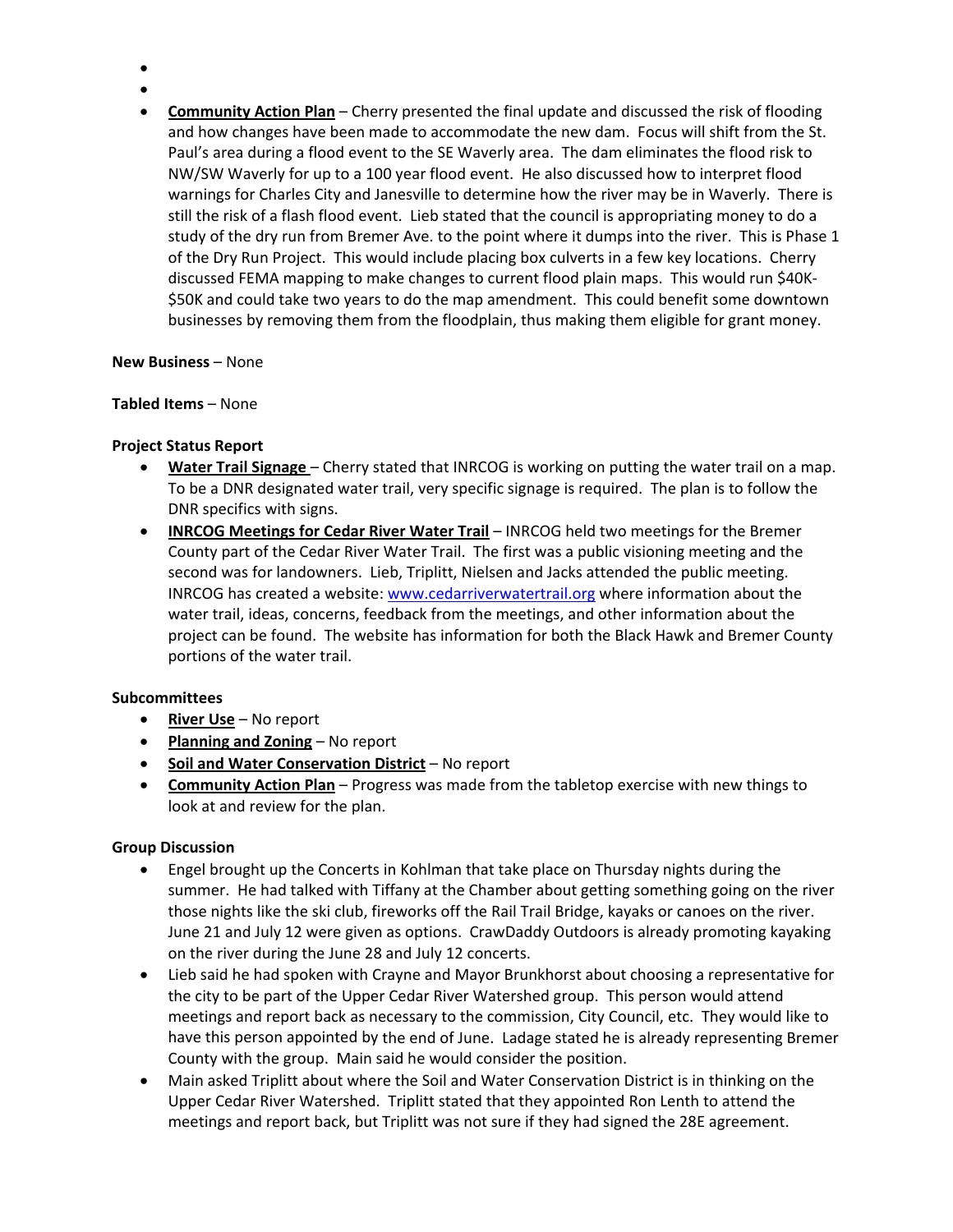- $\bullet$  $\bullet$
- **Community Action Plan** Cherry presented the final update and discussed the risk of flooding and how changes have been made to accommodate the new dam. Focus will shift from the St. Paul's area during a flood event to the SE Waverly area. The dam eliminates the flood risk to NW/SW Waverly for up to a 100 year flood event. He also discussed how to interpret flood warnings for Charles City and Janesville to determine how the river may be in Waverly. There is still the risk of a flash flood event. Lieb stated that the council is appropriating money to do a study of the dry run from Bremer Ave. to the point where it dumps into the river. This is Phase 1 of the Dry Run Project. This would include placing box culverts in a few key locations. Cherry discussed FEMA mapping to make changes to current flood plain maps. This would run \$40K‐ \$50K and could take two years to do the map amendment. This could benefit some downtown businesses by removing them from the floodplain, thus making them eligible for grant money.

## **New Business** – None

## **Tabled Items** – None

## **Project Status Report**

- **Water Trail Signage** Cherry stated that INRCOG is working on putting the water trail on a map. To be a DNR designated water trail, very specific signage is required. The plan is to follow the DNR specifics with signs.
- **INRCOG Meetings for Cedar River Water Trail** INRCOG held two meetings for the Bremer County part of the Cedar River Water Trail. The first was a public visioning meeting and the second was for landowners. Lieb, Triplitt, Nielsen and Jacks attended the public meeting. INRCOG has created a website: www.cedarriverwatertrail.org where information about the water trail, ideas, concerns, feedback from the meetings, and other information about the project can be found. The website has information for both the Black Hawk and Bremer County portions of the water trail.

## **Subcommittees**

- **River Use** No report
- **Planning and Zoning** No report
- **Soil and Water Conservation District** No report
- **Community Action Plan** Progress was made from the tabletop exercise with new things to look at and review for the plan.

## **Group Discussion**

- Engel brought up the Concerts in Kohlman that take place on Thursday nights during the summer. He had talked with Tiffany at the Chamber about getting something going on the river those nights like the ski club, fireworks off the Rail Trail Bridge, kayaks or canoes on the river. June 21 and July 12 were given as options. CrawDaddy Outdoors is already promoting kayaking on the river during the June 28 and July 12 concerts.
- Lieb said he had spoken with Crayne and Mayor Brunkhorst about choosing a representative for the city to be part of the Upper Cedar River Watershed group. This person would attend meetings and report back as necessary to the commission, City Council, etc. They would like to have this person appointed by the end of June. Ladage stated he is already representing Bremer County with the group. Main said he would consider the position.
- Main asked Triplitt about where the Soil and Water Conservation District is in thinking on the Upper Cedar River Watershed. Triplitt stated that they appointed Ron Lenth to attend the meetings and report back, but Triplitt was not sure if they had signed the 28E agreement.